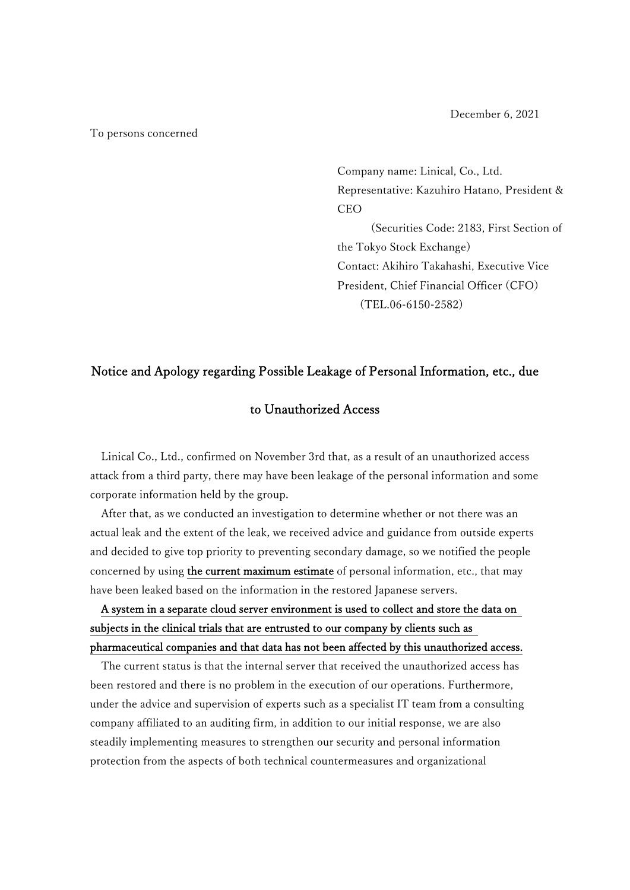December 6, 2021

#### To persons concerned

Company name: Linical, Co., Ltd. Representative: Kazuhiro Hatano, President & CEO (Securities Code: 2183, First Section of the Tokyo Stock Exchange) Contact: Akihiro Takahashi, Executive Vice President, Chief Financial Officer (CFO) (TEL.06-6150-2582)

## Notice and Apology regarding Possible Leakage of Personal Information, etc., due

## to Unauthorized Access

Linical Co., Ltd., confirmed on November 3rd that, as a result of an unauthorized access attack from a third party, there may have been leakage of the personal information and some corporate information held by the group.

After that, as we conducted an investigation to determine whether or not there was an actual leak and the extent of the leak, we received advice and guidance from outside experts and decided to give top priority to preventing secondary damage, so we notified the people concerned by using the current maximum estimate of personal information, etc., that may have been leaked based on the information in the restored Japanese servers.

# A system in a separate cloud server environment is used to collect and store the data on subjects in the clinical trials that are entrusted to our company by clients such as pharmaceutical companies and that data has not been affected by this unauthorized access.

The current status is that the internal server that received the unauthorized access has been restored and there is no problem in the execution of our operations. Furthermore, under the advice and supervision of experts such as a specialist IT team from a consulting company affiliated to an auditing firm, in addition to our initial response, we are also steadily implementing measures to strengthen our security and personal information protection from the aspects of both technical countermeasures and organizational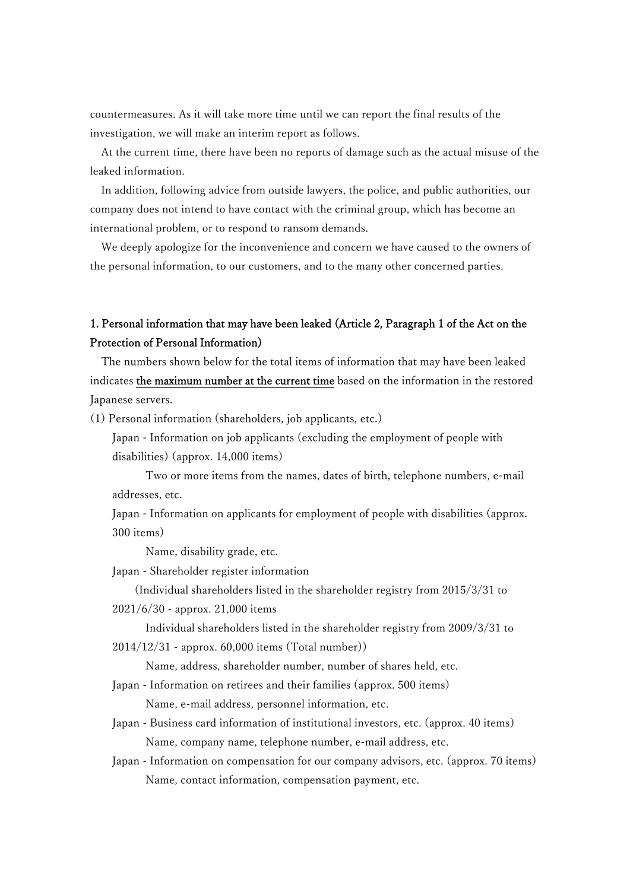countermeasures. As it will take more time until we can report the final results of the investigation, we will make an interim report as follows.

At the current time, there have been no reports of damage such as the actual misuse of the leaked information.

In addition, following advice from outside lawyers, the police, and public authorities, our company does not intend to have contact with the criminal group, which has become an international problem, or to respond to ransom demands.

We deeply apologize for the inconvenience and concern we have caused to the owners of the personal information, to our customers, and to the many other concerned parties.

## 1. Personal information that may have been leaked (Article 2, Paragraph 1 of the Act on the Protection of Personal Information)

The numbers shown below for the total items of information that may have been leaked indicates the maximum number at the current time based on the information in the restored Japanese servers.

(1) Personal information (shareholders, job applicants, etc.)

Japan - Information on job applicants (excluding the employment of people with disabilities) (approx. 14,000 items)

Two or more items from the names, dates of birth, telephone numbers, e-mail addresses, etc.

Japan - Information on applicants for employment of people with disabilities (approx. 300 items)

Name, disability grade, etc.

Japan - Shareholder register information

(Individual shareholders listed in the shareholder registry from 2015/3/31 to 2021/6/30 - approx. 21,000 items

Individual shareholders listed in the shareholder registry from 2009/3/31 to 2014/12/31 - approx. 60,000 items (Total number))

Name, address, shareholder number, number of shares held, etc.

Japan - Information on retirees and their families (approx. 500 items)

Name, e-mail address, personnel information, etc.

Japan - Business card information of institutional investors, etc. (approx. 40 items) Name, company name, telephone number, e-mail address, etc.

Japan - Information on compensation for our company advisors, etc. (approx. 70 items) Name, contact information, compensation payment, etc.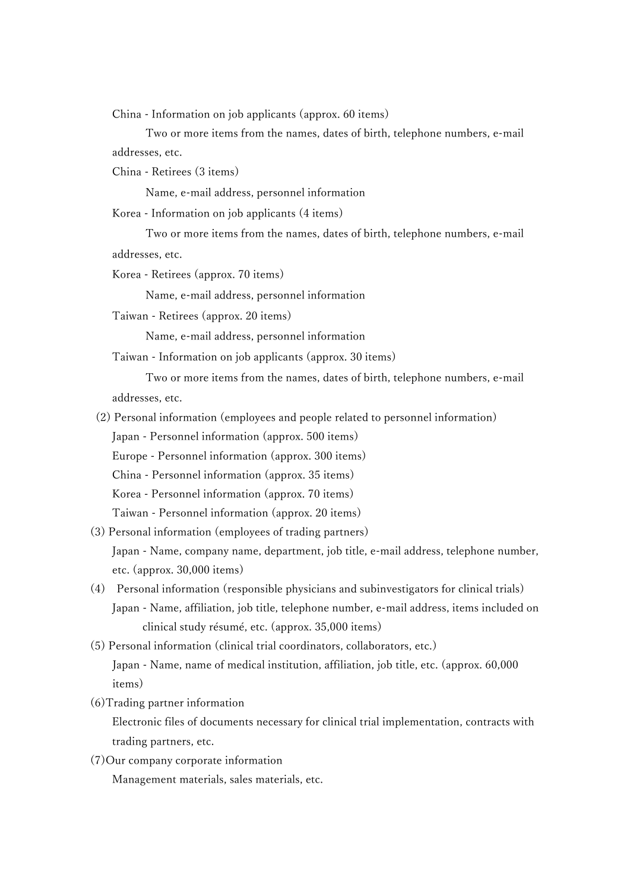China - Information on job applicants (approx. 60 items)

Two or more items from the names, dates of birth, telephone numbers, e-mail addresses, etc.

China - Retirees (3 items)

Name, e-mail address, personnel information

Korea - Information on job applicants (4 items)

 Two or more items from the names, dates of birth, telephone numbers, e-mail addresses, etc.

Korea - Retirees (approx. 70 items)

Name, e-mail address, personnel information

Taiwan - Retirees (approx. 20 items)

Name, e-mail address, personnel information

Taiwan - Information on job applicants (approx. 30 items)

 Two or more items from the names, dates of birth, telephone numbers, e-mail addresses, etc.

(2) Personal information (employees and people related to personnel information)

Japan - Personnel information (approx. 500 items)

Europe - Personnel information (approx. 300 items)

China - Personnel information (approx. 35 items)

Korea - Personnel information (approx. 70 items)

Taiwan - Personnel information (approx. 20 items)

- (3) Personal information (employees of trading partners) Japan - Name, company name, department, job title, e-mail address, telephone number, etc. (approx. 30,000 items)
- (4) Personal information (responsible physicians and subinvestigators for clinical trials) Japan - Name, affiliation, job title, telephone number, e-mail address, items included on clinical study résumé, etc. (approx. 35,000 items)
- (5) Personal information (clinical trial coordinators, collaborators, etc.) Japan - Name, name of medical institution, affiliation, job title, etc. (approx. 60,000 items)
- (6)Trading partner information

Electronic files of documents necessary for clinical trial implementation, contracts with trading partners, etc.

(7)Our company corporate information

Management materials, sales materials, etc.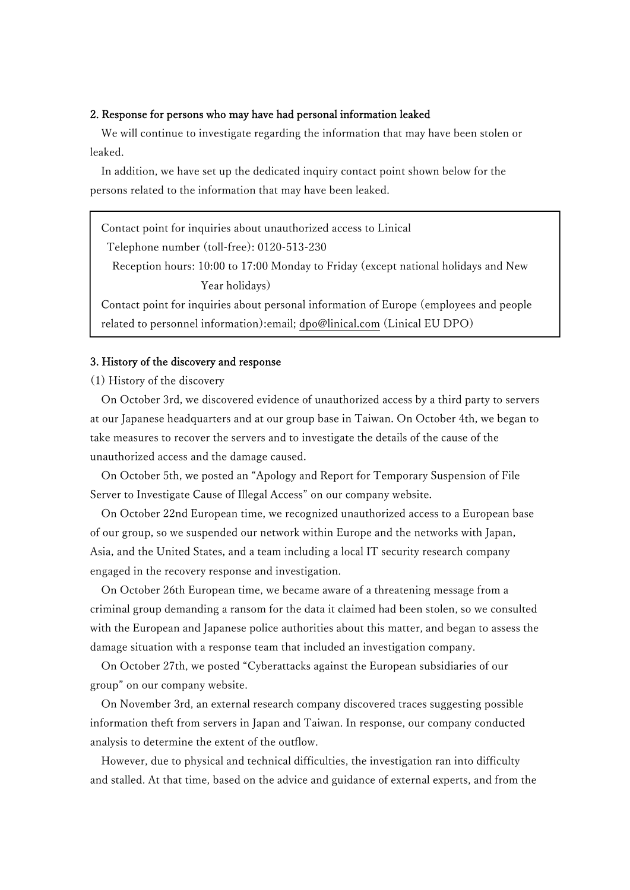#### 2. Response for persons who may have had personal information leaked

We will continue to investigate regarding the information that may have been stolen or leaked.

In addition, we have set up the dedicated inquiry contact point shown below for the persons related to the information that may have been leaked.

Contact point for inquiries about unauthorized access to Linical

Telephone number (toll-free): 0120-513-230

 Reception hours: 10:00 to 17:00 Monday to Friday (except national holidays and New Year holidays)

 Contact point for inquiries about personal information of Europe (employees and people related to personnel information):email; dpo@linical.com (Linical EU DPO)

### 3. History of the discovery and response

(1) History of the discovery

On October 3rd, we discovered evidence of unauthorized access by a third party to servers at our Japanese headquarters and at our group base in Taiwan. On October 4th, we began to take measures to recover the servers and to investigate the details of the cause of the unauthorized access and the damage caused.

On October 5th, we posted an "Apology and Report for Temporary Suspension of File Server to Investigate Cause of Illegal Access" on our company website.

On October 22nd European time, we recognized unauthorized access to a European base of our group, so we suspended our network within Europe and the networks with Japan, Asia, and the United States, and a team including a local IT security research company engaged in the recovery response and investigation.

On October 26th European time, we became aware of a threatening message from a criminal group demanding a ransom for the data it claimed had been stolen, so we consulted with the European and Japanese police authorities about this matter, and began to assess the damage situation with a response team that included an investigation company.

On October 27th, we posted "Cyberattacks against the European subsidiaries of our group" on our company website.

On November 3rd, an external research company discovered traces suggesting possible information theft from servers in Japan and Taiwan. In response, our company conducted analysis to determine the extent of the outflow.

However, due to physical and technical difficulties, the investigation ran into difficulty and stalled. At that time, based on the advice and guidance of external experts, and from the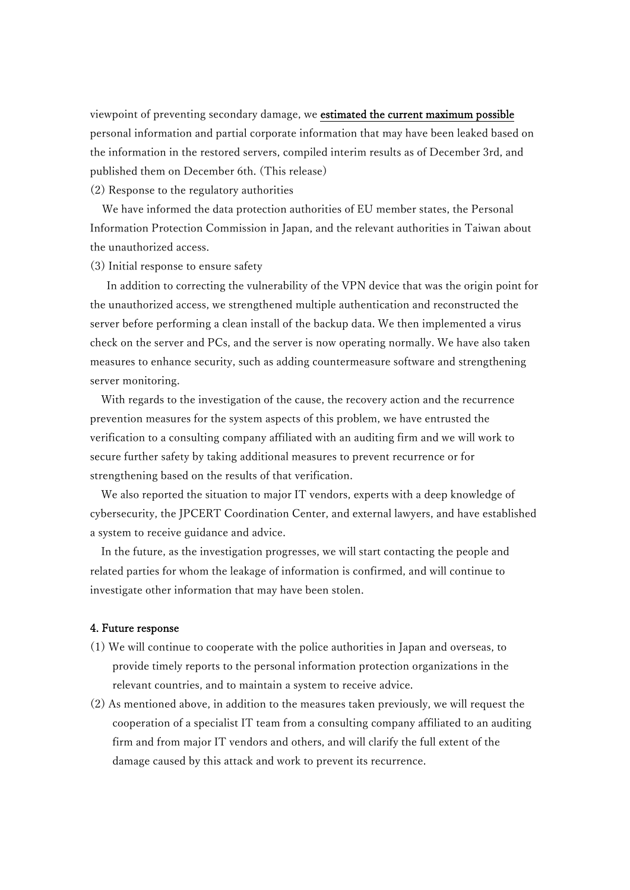viewpoint of preventing secondary damage, we estimated the current maximum possible personal information and partial corporate information that may have been leaked based on the information in the restored servers, compiled interim results as of December 3rd, and published them on December 6th. (This release)

(2) Response to the regulatory authorities

We have informed the data protection authorities of EU member states, the Personal Information Protection Commission in Japan, and the relevant authorities in Taiwan about the unauthorized access.

(3) Initial response to ensure safety

 In addition to correcting the vulnerability of the VPN device that was the origin point for the unauthorized access, we strengthened multiple authentication and reconstructed the server before performing a clean install of the backup data. We then implemented a virus check on the server and PCs, and the server is now operating normally. We have also taken measures to enhance security, such as adding countermeasure software and strengthening server monitoring.

With regards to the investigation of the cause, the recovery action and the recurrence prevention measures for the system aspects of this problem, we have entrusted the verification to a consulting company affiliated with an auditing firm and we will work to secure further safety by taking additional measures to prevent recurrence or for strengthening based on the results of that verification.

We also reported the situation to major IT vendors, experts with a deep knowledge of cybersecurity, the JPCERT Coordination Center, and external lawyers, and have established a system to receive guidance and advice.

In the future, as the investigation progresses, we will start contacting the people and related parties for whom the leakage of information is confirmed, and will continue to investigate other information that may have been stolen.

### 4. Future response

- (1) We will continue to cooperate with the police authorities in Japan and overseas, to provide timely reports to the personal information protection organizations in the relevant countries, and to maintain a system to receive advice.
- (2) As mentioned above, in addition to the measures taken previously, we will request the cooperation of a specialist IT team from a consulting company affiliated to an auditing firm and from major IT vendors and others, and will clarify the full extent of the damage caused by this attack and work to prevent its recurrence.